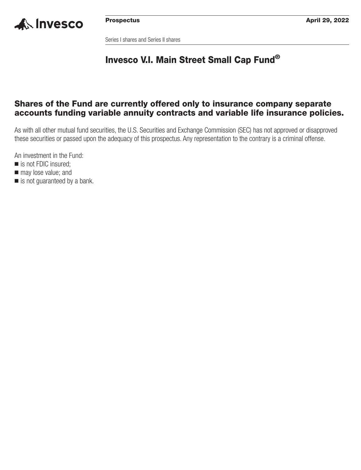

Series I shares and Series II shares

# **Invesco V.I. Main Street Small Cap Fund®**

# **Shares of the Fund are currently offered only to insurance company separate accounts funding variable annuity contracts and variable life insurance policies.**

As with all other mutual fund securities, the U.S. Securities and Exchange Commission (SEC) has not approved or disapproved these securities or passed upon the adequacy of this prospectus. Any representation to the contrary is a criminal offense.

An investment in the Fund:

- is not FDIC insured;
- $\blacksquare$  may lose value; and
- is not guaranteed by a bank.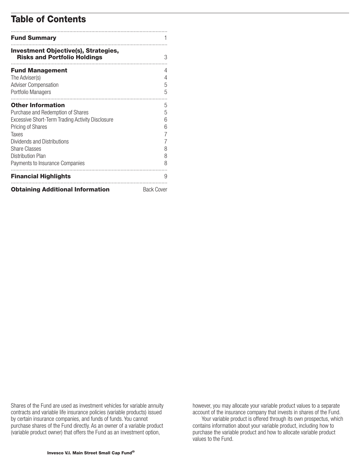# **Table of Contents**

| <b>Fund Summary</b>                                                                |                   |
|------------------------------------------------------------------------------------|-------------------|
| <b>Investment Objective(s), Strategies,</b><br><b>Risks and Portfolio Holdings</b> | 3                 |
| <b>Fund Management</b>                                                             | 4                 |
| The Adviser(s)                                                                     | 4                 |
| <b>Adviser Compensation</b>                                                        | 5                 |
| Portfolio Managers                                                                 | 5                 |
| <b>Other Information</b>                                                           | 5                 |
| Purchase and Redemption of Shares                                                  | 5                 |
| Excessive Short-Term Trading Activity Disclosure                                   | 6                 |
| Pricing of Shares                                                                  | 6                 |
| Taxes                                                                              | 7                 |
| Dividends and Distributions                                                        |                   |
| <b>Share Classes</b>                                                               | 8                 |
| <b>Distribution Plan</b>                                                           | 8                 |
| Payments to Insurance Companies                                                    | 8                 |
| <b>Financial Highlights</b>                                                        | 9                 |
| <b>Obtaining Additional Information</b>                                            | <b>Back Cover</b> |

Shares of the Fund are used as investment vehicles for variable annuity contracts and variable life insurance policies (variable products) issued by certain insurance companies, and funds of funds. You cannot purchase shares of the Fund directly. As an owner of a variable product (variable product owner) that offers the Fund as an investment option,

however, you may allocate your variable product values to a separate account of the insurance company that invests in shares of the Fund.

Your variable product is offered through its own prospectus, which contains information about your variable product, including how to purchase the variable product and how to allocate variable product values to the Fund.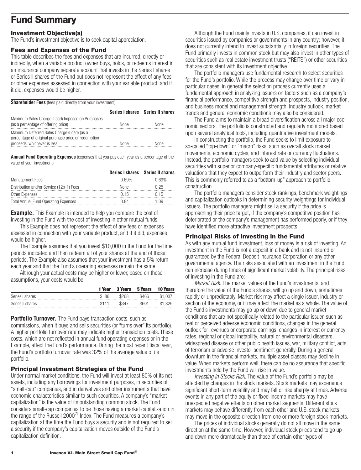# <span id="page-2-0"></span>**Fund Summary**

# **Investment Objective(s)**

The Fund's investment objective is to seek capital appreciation.

#### **Fees and Expenses of the Fund**

This table describes the fees and expenses that are incurred, directly or indirectly, when a variable product owner buys, holds, or redeems interest in an insurance company separate account that invests in the Series I shares or Series II shares of the Fund but does not represent the effect of any fees or other expenses assessed in connection with your variable product, and if it did, expenses would be higher.

**Shareholder Fees** (fees paid directly from your investment)

|                                                                                                                                   |             | Series I shares Series II shares |
|-----------------------------------------------------------------------------------------------------------------------------------|-------------|----------------------------------|
| Maximum Sales Charge (Load) Imposed on Purchases<br>(as a percentage of offering price)                                           | <b>None</b> | <b>None</b>                      |
| Maximum Deferred Sales Charge (Load) (as a<br>percentage of original purchase price or redemption<br>proceeds, whichever is less) | <b>None</b> | None                             |

**Annual Fund Operating Expenses** (expenses that you pay each year as a percentage of the value of your investment)

|                                             |       | Series I shares Series II shares |
|---------------------------------------------|-------|----------------------------------|
| <b>Management Fees</b>                      | በ 69% | U ROY                            |
| Distribution and/or Service (12b-1) Fees    | None  | 125                              |
| Other Expenses                              | (115  | 115                              |
| <b>Total Annual Fund Operating Expenses</b> | N 84  | ng                               |

**Example.** This Example is intended to help you compare the cost of investing in the Fund with the cost of investing in other mutual funds.

This Example does not represent the effect of any fees or expenses assessed in connection with your variable product, and if it did, expenses would be higher.

The Example assumes that you invest \$10,000 in the Fund for the time periods indicated and then redeem all of your shares at the end of those periods. The Example also assumes that your investment has a 5% return each year and that the Fund's operating expenses remain the same.

Although your actual costs may be higher or lower, based on these assumptions, your costs would be:

|                  | 1 Year | 3 Years | 5 Years | <b>10 Years</b> |
|------------------|--------|---------|---------|-----------------|
| Series I shares  | \$86   | \$268   | \$466   | \$1.037         |
| Series II shares | \$111  | \$347   | \$601   | \$1,329         |

**Portfolio Turnover.** The Fund pays transaction costs, such as commissions, when it buys and sells securities (or "turns over" its portfolio). A higher portfolio turnover rate may indicate higher transaction costs. These costs, which are not reflected in annual fund operating expenses or in the Example, affect the Fund's performance. During the most recent fiscal year, the Fund's portfolio turnover rate was 32% of the average value of its portfolio.

#### **Principal Investment Strategies of the Fund**

Under normal market conditions, the Fund will invest at least 80% of its net assets, including any borrowings for investment purposes, in securities of "small-cap" companies, and in derivatives and other instruments that have economic characteristics similar to such securities. A company's "market capitalization" is the value of its outstanding common stock. The Fund considers small-cap companies to be those having a market capitalization in the range of the Russell 2000 $^{\circledR}$  Index. The Fund measures a company's capitalization at the time the Fund buys a security and is not required to sell a security if the company's capitalization moves outside of the Fund's capitalization definition.

Although the Fund mainly invests in U.S. companies, it can invest in securities issued by companies or governments in any country; however, it does not currently intend to invest substantially in foreign securities. The Fund primarily invests in common stock but may also invest in other types of securities such as real estate investment trusts ("REITS") or other securities that are consistent with its investment objective.

The portfolio managers use fundamental research to select securities for the Fund's portfolio. While the process may change over time or vary in particular cases, in general the selection process currently uses a fundamental approach in analyzing issuers on factors such as a company's financial performance, competitive strength and prospects, industry position, and business model and management strength. Industry outlook, market trends and general economic conditions may also be considered.

The Fund aims to maintain a broad diversification across all major economic sectors. The portfolio is constructed and regularly monitored based upon several analytical tools, including quantitative investment models.

In constructing the portfolio, the Fund seeks to limit exposure to so-called "top-down" or "macro" risks, such as overall stock market movements, economic cycles, and interest rate or currency fluctuations. Instead, the portfolio managers seek to add value by selecting individual securities with superior company-specific fundamental attributes or relative valuations that they expect to outperform their industry and sector peers. This is commonly referred to as a "bottom-up" approach to portfolio construction.

The portfolio managers consider stock rankings, benchmark weightings and capitalization outlooks in determining security weightings for individual issuers. The portfolio managers might sell a security if the price is approaching their price target, if the company's competitive position has deteriorated or the company's management has performed poorly, or if they have identified more attractive investment prospects.

### **Principal Risks of Investing in the Fund**

As with any mutual fund investment, loss of money is a risk of investing. An investment in the Fund is not a deposit in a bank and is not insured or guaranteed by the Federal Deposit Insurance Corporation or any other governmental agency. The risks associated with an investment in the Fund can increase during times of significant market volatility. The principal risks of investing in the Fund are:

*Market Risk.* The market values of the Fund's investments, and therefore the value of the Fund's shares, will go up and down, sometimes rapidly or unpredictably. Market risk may affect a single issuer, industry or section of the economy, or it may affect the market as a whole. The value of the Fund's investments may go up or down due to general market conditions that are not specifically related to the particular issuer, such as real or perceived adverse economic conditions, changes in the general outlook for revenues or corporate earnings, changes in interest or currency rates, regional or global instability, natural or environmental disasters, widespread disease or other public health issues, war, military conflict, acts of terrorism or adverse investor sentiment generally. During a general downturn in the financial markets, multiple asset classes may decline in value. When markets perform well, there can be no assurance that specific investments held by the Fund will rise in value.

*Investing in Stocks Risk.* The value of the Fund's portfolio may be affected by changes in the stock markets. Stock markets may experience significant short-term volatility and may fall or rise sharply at times. Adverse events in any part of the equity or fixed-income markets may have unexpected negative effects on other market segments. Different stock markets may behave differently from each other and U.S. stock markets may move in the opposite direction from one or more foreign stock markets.

The prices of individual stocks generally do not all move in the same direction at the same time. However, individual stock prices tend to go up and down more dramatically than those of certain other types of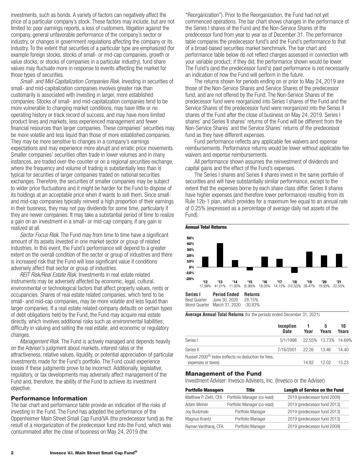investments, such as bonds. A variety of factors can negatively affect the price of a particular company's stock. These factors may include, but are not limited to: poor earnings reports, a loss of customers, litigation against the company, general unfavorable performance of the company's sector or industry, or changes in government regulations affecting the company or its industry. To the extent that securities of a particular type are emphasized (for example foreign stocks, stocks of small- or mid-cap companies, growth or value stocks, or stocks of companies in a particular industry), fund share values may fluctuate more in response to events affecting the market for those types of securities.

*Small- and Mid-Capitalization Companies Risk.* Investing in securities of small- and mid-capitalization companies involves greater risk than customarily is associated with investing in larger, more established companies. Stocks of small- and mid-capitalization companies tend to be more vulnerable to changing market conditions, may have little or no operating history or track record of success, and may have more limited product lines and markets, less experienced management and fewer financial resources than larger companies. These companies' securities may be more volatile and less liquid than those of more established companies. They may be more sensitive to changes in a company's earnings expectations and may experience more abrupt and erratic price movements. Smaller companies' securities often trade in lower volumes and in many instances, are traded over-the-counter or on a regional securities exchange, where the frequency and volume of trading is substantially less than is typical for securities of larger companies traded on national securities exchanges. Therefore, the securities of smaller companies may be subject to wider price fluctuations and it might be harder for the Fund to dispose of its holdings at an acceptable price when it wants to sell them. Since smalland mid-cap companies typically reinvest a high proportion of their earnings in their business, they may not pay dividends for some time, particularly if they are newer companies. It may take a substantial period of time to realize a gain on an investment in a small- or mid-cap company, if any gain is realized at all.

*Sector Focus Risk*. The Fund may from time to time have a significant amount of its assets invested in one market sector or group of related industries. In this event, the Fund's performance will depend to a greater extent on the overall condition of the sector or group of industries and there is increased risk that the Fund will lose significant value if conditions adversely affect that sector or group of industries.

*REIT Risk/Real Estate Risk.* Investments in real estate related instruments may be adversely affected by economic, legal, cultural, environmental or technological factors that affect property values, rents or occupancies. Shares of real estate related companies, which tend to be small- and mid-cap companies, may be more volatile and less liquid than larger companies. If a real estate related company defaults on certain types of debt obligations held by the Fund, the Fund may acquire real estate directly, which involves additional risks such as environmental liabilities; difficulty in valuing and selling the real estate; and economic or regulatory changes.

*Management Risk.* The Fund is actively managed and depends heavily on the Adviser's judgment about markets, interest rates or the attractiveness, relative values, liquidity, or potential appreciation of particular investments made for the Fund's portfolio. The Fund could experience losses if these judgments prove to be incorrect. Additionally, legislative, regulatory, or tax developments may adversely affect management of the Fund and, therefore, the ability of the Fund to achieve its investment objective.

#### **Performance Information**

The bar chart and performance table provide an indication of the risks of investing in the Fund. The Fund has adopted the performance of the Oppenheimer Main Street Small Cap Fund/VA (the predecessor fund) as the result of a reorganization of the predecessor fund into the Fund, which was consummated after the close of business on May 24, 2019 (the

"Reorganization"). Prior to the Reorganization, the Fund had not yet commenced operations. The bar chart shows changes in the performance of the Series I shares of the Fund and the Non-Service Shares of the predecessor fund from year to year as of December 31. The performance table compares the predecessor fund's and the Fund's performance to that of a broad-based securities market benchmark. The bar chart and performance table below do not reflect charges assessed in connection with your variable product; if they did, the performance shown would be lower. The Fund's (and the predecessor fund's) past performance is not necessarily an indication of how the Fund will perform in the future.

The returns shown for periods ending on or prior to May 24, 2019 are those of the Non-Service Shares and Service Shares of the predecessor fund, and are not offered by the Fund. The Non-Service Shares of the predecessor fund were reorganized into Series I shares of the Fund and the Service Shares of the predecessor fund were reorganized into the Series II shares of the Fund after the close of business on May 24, 2019. Series I shares' and Series II shares' returns of the Fund will be different from the Non-Service Shares' and the Service Shares' returns of the predecessor fund as they have different expenses.

Fund performance reflects any applicable fee waivers and expense reimbursements. Performance returns would be lower without applicable fee waivers and expense reimbursements.

All performance shown assumes the reinvestment of dividends and capital gains and the effect of the Fund's expenses.

The Series I shares and Series II shares invest in the same portfolio of securities and will have substantially similar performance, except to the extent that the expenses borne by each share class differ. Series II shares have higher expenses (and therefore lower performance) resulting from its Rule 12b-1 plan, which provides for a maximum fee equal to an annual rate of 0.25% (expressed as a percentage of average daily net assets of the Fund).



**Average Annual Total Returns** (for the periods ended December 31, 2021)

|                                                                                        | Inception<br>Date             | Year | Years             | 10<br>Years |
|----------------------------------------------------------------------------------------|-------------------------------|------|-------------------|-------------|
| Series I                                                                               | 5/1/1998 22.55% 13.73% 14.69% |      |                   |             |
| Series II                                                                              | 7/16/2001 22.26 13.46 14.40   |      |                   |             |
| Russell 2000 <sup>®</sup> Index (reflects no deduction for fees,<br>expenses or taxes) |                               |      | 14.82 12.02 13.23 |             |

#### **Management of the Fund**

Investment Adviser: Invesco Advisers, Inc. (Invesco or the Adviser)

| <b>Length of Service on the Fund</b> |
|--------------------------------------|
| 2019 (predecessor fund 2009)         |
| 2019 (predecessor fund 2013)         |
| 2019 (predecessor fund 2013)         |
| 2019 (predecessor fund 2013)         |
| 2019 (predecessor fund 2009)         |
|                                      |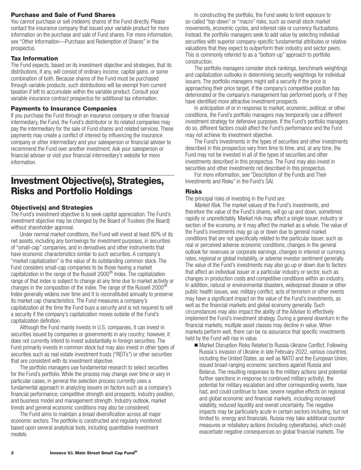### <span id="page-4-0"></span>**Purchase and Sale of Fund Shares**

You cannot purchase or sell (redeem) shares of the Fund directly. Please contact the insurance company that issued your variable product for more information on the purchase and sale of Fund shares. For more information, see "Other Information—Purchase and Redemption of Shares" in the prospectus.

### **Tax Information**

The Fund expects, based on its investment objective and strategies, that its distributions, if any, will consist of ordinary income, capital gains, or some combination of both. Because shares of the Fund must be purchased through variable products, such distributions will be exempt from current taxation if left to accumulate within the variable product. Consult your variable insurance contract prospectus for additional tax information.

### **Payments to Insurance Companies**

If you purchase the Fund through an insurance company or other financial intermediary, the Fund, the Fund's distributor or its related companies may pay the intermediary for the sale of Fund shares and related services. These payments may create a conflict of interest by influencing the insurance company or other intermediary and your salesperson or financial adviser to recommend the Fund over another investment. Ask your salesperson or financial adviser or visit your financial intermediary's website for more information.

# **Investment Objective(s), Strategies, Risks and Portfolio Holdings**

# **Objective(s) and Strategies**

The Fund's investment objective is to seek capital appreciation. The Fund's investment objective may be changed by the Board of Trustees (the Board) without shareholder approval.

Under normal market conditions, the Fund will invest at least 80% of its net assets, including any borrowings for investment purposes, in securities of "small-cap" companies, and in derivatives and other instruments that have economic characteristics similar to such securities. A company's "market capitalization" is the value of its outstanding common stock. The Fund considers small-cap companies to be those having a market capitalization in the range of the Russell 2000® Index. The capitalization range of that index is subject to change at any time due to market activity or changes in the composition of the index. The range of the Russell 2000 $^{\circledR}$ Index generally widens over time and it is reconstituted annually to preserve its market cap characteristics. The Fund measures a company's capitalization at the time the Fund buys a security and is not required to sell a security if the company's capitalization moves outside of the Fund's capitalization definition.

Although the Fund mainly invests in U.S. companies, it can invest in securities issued by companies or governments in any country; however, it does not currently intend to invest substantially in foreign securities. The Fund primarily invests in common stock but may also invest in other types of securities such as real estate investment trusts ("REITs") or other securities that are consistent with its investment objective.

The portfolio managers use fundamental research to select securities for the Fund's portfolio. While the process may change over time or vary in particular cases, in general the selection process currently uses a fundamental approach in analyzing issuers on factors such as a company's financial performance, competitive strength and prospects, industry position, and business model and management strength. Industry outlook, market trends and general economic conditions may also be considered.

The Fund aims to maintain a broad diversification across all major economic sectors. The portfolio is constructed and regularly monitored based upon several analytical tools, including quantitative investment models.

In constructing the portfolio, the Fund seeks to limit exposure to so-called "top-down" or "macro" risks, such as overall stock market movements, economic cycles, and interest rate or currency fluctuations. Instead, the portfolio managers seek to add value by selecting individual securities with superior company-specific fundamental attributes or relative valuations that they expect to outperform their industry and sector peers. This is commonly referred to as a "bottom-up" approach to portfolio construction.

The portfolio managers consider stock rankings, benchmark weightings and capitalization outlooks in determining security weightings for individual issuers. The portfolio managers might sell a security if the price is approaching their price target, if the company's competitive position has deteriorated or the company's management has performed poorly, or if they have identified more attractive investment prospects.

In anticipation of or in response to market, economic, political, or other conditions, the Fund's portfolio managers may temporarily use a different investment strategy for defensive purposes. If the Fund's portfolio managers do so, different factors could affect the Fund's performance and the Fund may not achieve its investment objective.

The Fund's investments in the types of securities and other investments described in this prospectus vary from time to time, and, at any time, the Fund may not be invested in all of the types of securities and other investments described in this prospectus. The Fund may also invest in securities and other investments not described in this prospectus.

For more information, see "Description of the Funds and Their Investments and Risks" in the Fund's SAI.

# **Risks**

The principal risks of investing in the Fund are:

*Market Risk.* The market values of the Fund's investments, and therefore the value of the Fund's shares, will go up and down, sometimes rapidly or unpredictably. Market risk may affect a single issuer, industry or section of the economy, or it may affect the market as a whole. The value of the Fund's investments may go up or down due to general market conditions that are not specifically related to the particular issuer, such as real or perceived adverse economic conditions, changes in the general outlook for revenues or corporate earnings, changes in interest or currency rates, regional or global instability, or adverse investor sentiment generally. The value of the Fund's investments may also go up or down due to factors that affect an individual issuer or a particular industry or sector, such as changes in production costs and competitive conditions within an industry. In addition, natural or environmental disasters, widespread disease or other public health issues, war, military conflict, acts of terrorism or other events may have a significant impact on the value of the Fund's investments, as well as the financial markets and global economy generally. Such circumstances may also impact the ability of the Adviser to effectively implement the Fund's investment strategy. During a general downturn in the financial markets, multiple asset classes may decline in value. When markets perform well, there can be no assurance that specific investments held by the Fund will rise in value.

■ Market Disruption Risks Related to Russia-Ukraine Conflict. Following Russia's invasion of Ukraine in late February 2022, various countries, including the United States, as well as NATO and the European Union, issued broad-ranging economic sanctions against Russia and Belarus. The resulting responses to the military actions (and potential further sanctions in response to continued military activity), the potential for military escalation and other corresponding events, have had, and could continue to have, severe negative effects on regional and global economic and financial markets, including increased volatility, reduced liquidity and overall uncertainty. The negative impacts may be particularly acute in certain sectors including, but not limited to, energy and financials. Russia may take additional counter measures or retaliatory actions (including cyberattacks), which could exacerbate negative consequences on global financial markets. The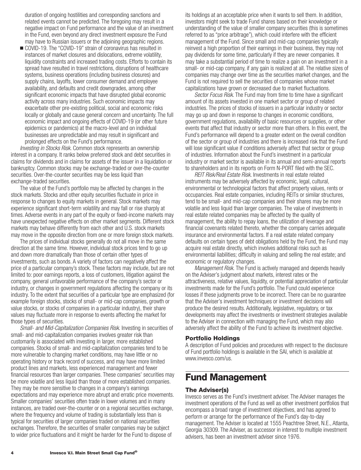<span id="page-5-0"></span>duration of ongoing hostilities and corresponding sanctions and related events cannot be predicted. The foregoing may result in a negative impact on Fund performance and the value of an investment in the Fund, even beyond any direct investment exposure the Fund may have to Russian issuers or the adjoining geographic regions.

■ COVID-19. The "COVID-19" strain of coronavirus has resulted in instances of market closures and dislocations, extreme volatility, liquidity constraints and increased trading costs. Efforts to contain its spread have resulted in travel restrictions, disruptions of healthcare systems, business operations (including business closures) and supply chains, layoffs, lower consumer demand and employee availability, and defaults and credit downgrades, among other significant economic impacts that have disrupted global economic activity across many industries. Such economic impacts may exacerbate other pre-existing political, social and economic risks locally or globally and cause general concern and uncertainty. The full economic impact and ongoing effects of COVID-19 (or other future epidemics or pandemics) at the macro-level and on individual businesses are unpredictable and may result in significant and prolonged effects on the Fund's performance.

*Investing in Stocks Risk*. Common stock represents an ownership interest in a company. It ranks below preferred stock and debt securities in claims for dividends and in claims for assets of the issuer in a liquidation or bankruptcy. Common stocks may be exchange-traded or over-the-counter securities. Over-the-counter securities may be less liquid than exchange-traded securities.

The value of the Fund's portfolio may be affected by changes in the stock markets. Stocks and other equity securities fluctuate in price in response to changes to equity markets in general. Stock markets may experience significant short-term volatility and may fall or rise sharply at times. Adverse events in any part of the equity or fixed-income markets may have unexpected negative effects on other market segments. Different stock markets may behave differently from each other and U.S. stock markets may move in the opposite direction from one or more foreign stock markets.

The prices of individual stocks generally do not all move in the same direction at the same time. However, individual stock prices tend to go up and down more dramatically than those of certain other types of investments, such as bonds. A variety of factors can negatively affect the price of a particular company's stock. These factors may include, but are not limited to: poor earnings reports, a loss of customers, litigation against the company, general unfavorable performance of the company's sector or industry, or changes in government regulations affecting the company or its industry. To the extent that securities of a particular type are emphasized (for example foreign stocks, stocks of small- or mid-cap companies, growth or value stocks, or stocks of companies in a particular industry), their share values may fluctuate more in response to events affecting the market for those types of securities.

*Small- and Mid-Capitalization Companies Risk*. Investing in securities of small- and mid-capitalization companies involves greater risk than customarily is associated with investing in larger, more established companies. Stocks of small- and mid-capitalization companies tend to be more vulnerable to changing market conditions, may have little or no operating history or track record of success, and may have more limited product lines and markets, less experienced management and fewer financial resources than larger companies. These companies' securities may be more volatile and less liquid than those of more established companies. They may be more sensitive to changes in a company's earnings expectations and may experience more abrupt and erratic price movements. Smaller companies' securities often trade in lower volumes and in many instances, are traded over-the-counter or on a regional securities exchange, where the frequency and volume of trading is substantially less than is typical for securities of larger companies traded on national securities exchanges. Therefore, the securities of smaller companies may be subject to wider price fluctuations and it might be harder for the Fund to dispose of

its holdings at an acceptable price when it wants to sell them. In addition, investors might seek to trade Fund shares based on their knowledge or understanding of the value of smaller company securities (this is sometimes referred to as "price arbitrage"), which could interfere with the efficient management of the Fund. Since small and mid-cap companies typically reinvest a high proportion of their earnings in their business, they may not pay dividends for some time, particularly if they are newer companies. It may take a substantial period of time to realize a gain on an investment in a small- or mid-cap company, if any gain is realized at all. The relative sizes of companies may change over time as the securities market changes, and the Fund is not required to sell the securities of companies whose market capitalizations have grown or decreased due to market fluctuations.

*Sector Focus Risk*. The Fund may from time to time have a significant amount of its assets invested in one market sector or group of related industries. The prices of stocks of issuers in a particular industry or sector may go up and down in response to changes in economic conditions, government regulations, availability of basic resources or supplies, or other events that affect that industry or sector more than others. In this event, the Fund's performance will depend to a greater extent on the overall condition of the sector or group of industries and there is increased risk that the Fund will lose significant value if conditions adversely affect that sector or group of industries. Information about the Fund's investment in a particular industry or market sector is available in its annual and semi-annual reports to shareholders and in its reports on Form N-PORT filed with the SEC.

*REIT Risk/Real Estate Risk.* Investments in real estate related instruments may be adversely affected by economic, legal, cultural, environmental or technological factors that affect property values, rents or occupancies. Real estate companies, including REITs or similar structures, tend to be small- and mid-cap companies and their shares may be more volatile and less liquid than larger companies. The value of investments in real estate related companies may be affected by the quality of management, the ability to repay loans, the utilization of leverage and financial covenants related thereto, whether the company carries adequate insurance and environmental factors. If a real estate related company defaults on certain types of debt obligations held by the Fund, the Fund may acquire real estate directly, which involves additional risks such as environmental liabilities; difficulty in valuing and selling the real estate; and economic or regulatory changes.

*Management Risk.* The Fund is actively managed and depends heavily on the Adviser's judgment about markets, interest rates or the attractiveness, relative values, liquidity, or potential appreciation of particular investments made for the Fund's portfolio. The Fund could experience losses if these judgments prove to be incorrect. There can be no guarantee that the Adviser's investment techniques or investment decisions will produce the desired results. Additionally, legislative, regulatory, or tax developments may affect the investments or investment strategies available to the Adviser in connection with managing the Fund, which may also adversely affect the ability of the Fund to achieve its investment objective.

#### **Portfolio Holdings**

A description of Fund policies and procedures with respect to the disclosure of Fund portfolio holdings is available in the SAI, which is available at www.invesco.com/us.

# **Fund Management**

#### **The Adviser(s)**

Invesco serves as the Fund's investment adviser. The Adviser manages the investment operations of the Fund as well as other investment portfolios that encompass a broad range of investment objectives, and has agreed to perform or arrange for the performance of the Fund's day-to-day management. The Adviser is located at 1555 Peachtree Street, N.E., Atlanta, Georgia 30309. The Adviser, as successor in interest to multiple investment advisers, has been an investment adviser since 1976.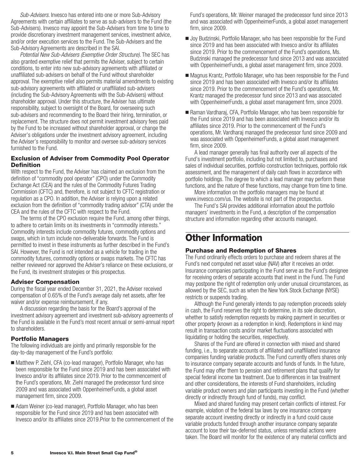<span id="page-6-0"></span>*Sub-Advisers*. Invesco has entered into one or more Sub-Advisory Agreements with certain affiliates to serve as sub-advisers to the Fund (the Sub-Advisers). Invesco may appoint the Sub-Advisers from time to time to provide discretionary investment management services, investment advice, and/or order execution services to the Fund. The Sub-Advisers and the Sub-Advisory Agreements are described in the SAI.

*Potential New Sub-Advisers (Exemptive Order Structure)*. The SEC has also granted exemptive relief that permits the Adviser, subject to certain conditions, to enter into new sub-advisory agreements with affiliated or unaffiliated sub-advisers on behalf of the Fund without shareholder approval. The exemptive relief also permits material amendments to existing sub-advisory agreements with affiliated or unaffiliated sub-advisers (including the Sub-Advisory Agreements with the Sub-Advisers) without shareholder approval. Under this structure, the Adviser has ultimate responsibility, subject to oversight of the Board, for overseeing such sub-advisers and recommending to the Board their hiring, termination, or replacement. The structure does not permit investment advisory fees paid by the Fund to be increased without shareholder approval, or change the Adviser's obligations under the investment advisory agreement, including the Adviser's responsibility to monitor and oversee sub-advisory services furnished to the Fund.

### **Exclusion of Adviser from Commodity Pool Operator Definition**

With respect to the Fund, the Adviser has claimed an exclusion from the definition of "commodity pool operator" (CPO) under the Commodity Exchange Act (CEA) and the rules of the Commodity Futures Trading Commission (CFTC) and, therefore, is not subject to CFTC registration or regulation as a CPO. In addition, the Adviser is relying upon a related exclusion from the definition of "commodity trading advisor" (CTA) under the CEA and the rules of the CFTC with respect to the Fund.

The terms of the CPO exclusion require the Fund, among other things, to adhere to certain limits on its investments in "commodity interests." Commodity interests include commodity futures, commodity options and swaps, which in turn include non-deliverable forwards. The Fund is permitted to invest in these instruments as further described in the Fund's SAI. However, the Fund is not intended as a vehicle for trading in the commodity futures, commodity options or swaps markets. The CFTC has neither reviewed nor approved the Adviser's reliance on these exclusions, or the Fund, its investment strategies or this prospectus.

# **Adviser Compensation**

During the fiscal year ended December 31, 2021, the Adviser received compensation of 0.65% of the Fund's average daily net assets, after fee waiver and/or expense reimbursement, if any.

A discussion regarding the basis for the Board's approval of the investment advisory agreement and investment sub-advisory agreements of the Fund is available in the Fund's most recent annual or semi-annual report to shareholders.

# **Portfolio Managers**

The following individuals are jointly and primarily responsible for the day-to-day management of the Fund's portfolio:

- Matthew P. Ziehl, CFA (co-lead manager), Portfolio Manager, who has been responsible for the Fund since 2019 and has been associated with Invesco and/or its affiliates since 2019. Prior to the commencement of the Fund's operations, Mr. Ziehl managed the predecessor fund since 2009 and was associated with OppenheimerFunds, a global asset management firm, since 2009.
- Adam Weiner (co-lead manager), Portfolio Manager, who has been responsible for the Fund since 2019 and has been associated with Invesco and/or its affiliates since 2019.Prior to the commencement of the

Fund's operations, Mr. Weiner managed the predecessor fund since 2013 and was associated with OppenheimerFunds, a global asset management firm, since 2009.

- Joy Budzinski, Portfolio Manager, who has been responsible for the Fund since 2019 and has been associated with Invesco and/or its affiliates since 2019. Prior to the commencement of the Fund's operations, Ms. Budzinski managed the predecessor fund since 2013 and was associated with OppenheimerFunds, a global asset management firm, since 2009.
- Magnus Krantz, Portfolio Manager, who has been responsible for the Fund since 2019 and has been associated with Invesco and/or its affiliates since 2019. Prior to the commencement of the Fund's operations, Mr. Krantz managed the predecessor fund since 2013 and was associated with OppenheimerFunds, a global asset management firm, since 2009.
- Raman Vardharaj, CFA, Portfolio Manager, who has been responsible for the Fund since 2019 and has been associated with Invesco and/or its affiliates since 2019. Prior to the commencement of the Fund's operations, Mr. Vardharaj managed the predecessor fund since 2009 and was associated with OppenheimerFunds, a global asset management firm, since 2009.

A lead manager generally has final authority over all aspects of the Fund's investment portfolio, including but not limited to, purchases and sales of individual securities, portfolio construction techniques, portfolio risk assessment, and the management of daily cash flows in accordance with portfolio holdings. The degree to which a lead manager may perform these functions, and the nature of these functions, may change from time to time.

More information on the portfolio managers may be found at www.invesco.com/us. The website is not part of the prospectus.

The Fund's SAI provides additional information about the portfolio managers' investments in the Fund, a description of the compensation structure and information regarding other accounts managed.

# **Other Information**

# **Purchase and Redemption of Shares**

The Fund ordinarily effects orders to purchase and redeem shares at the Fund's next computed net asset value (NAV) after it receives an order. Insurance companies participating in the Fund serve as the Fund's designee for receiving orders of separate accounts that invest in the Fund. The Fund may postpone the right of redemption only under unusual circumstances, as allowed by the SEC, such as when the New York Stock Exchange (NYSE) restricts or suspends trading.

Although the Fund generally intends to pay redemption proceeds solely in cash, the Fund reserves the right to determine, in its sole discretion, whether to satisfy redemption requests by making payment in securities or other property (known as a redemption in kind). Redemptions in kind may result in transaction costs and/or market fluctuations associated with liquidating or holding the securities, respectively.

Shares of the Fund are offered in connection with mixed and shared funding, i.e., to separate accounts of affiliated and unaffiliated insurance companies funding variable products. The Fund currently offers shares only to insurance company separate accounts and funds of funds. In the future, the Fund may offer them to pension and retirement plans that qualify for special federal income tax treatment. Due to differences in tax treatment and other considerations, the interests of Fund shareholders, including variable product owners and plan participants investing in the Fund (whether directly or indirectly through fund of funds), may conflict.

Mixed and shared funding may present certain conflicts of interest. For example, violation of the federal tax laws by one insurance company separate account investing directly or indirectly in a fund could cause variable products funded through another insurance company separate account to lose their tax-deferred status, unless remedial actions were taken. The Board will monitor for the existence of any material conflicts and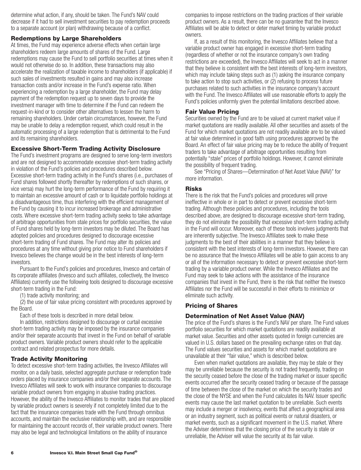<span id="page-7-0"></span>determine what action, if any, should be taken. The Fund's NAV could decrease if it had to sell investment securities to pay redemption proceeds to a separate account (or plan) withdrawing because of a conflict.

#### **Redemptions by Large Shareholders**

At times, the Fund may experience adverse effects when certain large shareholders redeem large amounts of shares of the Fund. Large redemptions may cause the Fund to sell portfolio securities at times when it would not otherwise do so. In addition, these transactions may also accelerate the realization of taxable income to shareholders (if applicable) if such sales of investments resulted in gains and may also increase transaction costs and/or increase in the Fund's expense ratio. When experiencing a redemption by a large shareholder, the Fund may delay payment of the redemption request up to seven days to provide the investment manager with time to determine if the Fund can redeem the request-in-kind or to consider other alternatives to lessen the harm to remaining shareholders. Under certain circumstances, however, the Fund may be unable to delay a redemption request, which could result in the automatic processing of a large redemption that is detrimental to the Fund and its remaining shareholders.

### **Excessive Short-Term Trading Activity Disclosure**

The Fund's investment programs are designed to serve long-term investors and are not designed to accommodate excessive short-term trading activity in violation of the Fund's policies and procedures described below. Excessive short-term trading activity in the Fund's shares (i.e., purchases of Fund shares followed shortly thereafter by redemptions of such shares, or vice versa) may hurt the long-term performance of the Fund by requiring it to maintain an excessive amount of cash or to liquidate portfolio holdings at a disadvantageous time, thus interfering with the efficient management of the Fund by causing it to incur increased brokerage and administrative costs. Where excessive short-term trading activity seeks to take advantage of arbitrage opportunities from stale prices for portfolio securities, the value of Fund shares held by long-term investors may be diluted. The Board has adopted policies and procedures designed to discourage excessive short-term trading of Fund shares. The Fund may alter its policies and procedures at any time without giving prior notice to Fund shareholders if Invesco believes the change would be in the best interests of long-term investors.

Pursuant to the Fund's policies and procedures, Invesco and certain of its corporate affiliates (Invesco and such affiliates, collectively, the Invesco Affiliates) currently use the following tools designed to discourage excessive short-term trading in the Fund:

(1) trade activity monitoring; and

(2) the use of fair value pricing consistent with procedures approved by the Board.

Each of these tools is described in more detail below.

In addition, restrictions designed to discourage or curtail excessive short-term trading activity may be imposed by the insurance companies and/or their separate accounts that invest in the Fund on behalf of variable product owners. Variable product owners should refer to the applicable contract and related prospectus for more details.

# **Trade Activity Monitoring**

To detect excessive short-term trading activities, the Invesco Affiliates will monitor, on a daily basis, selected aggregate purchase or redemption trade orders placed by insurance companies and/or their separate accounts. The Invesco Affiliates will seek to work with insurance companies to discourage variable product owners from engaging in abusive trading practices. However, the ability of the Invesco Affiliates to monitor trades that are placed by variable product owners is severely if not completely limited due to the fact that the insurance companies trade with the Fund through omnibus accounts, and maintain the exclusive relationship with, and are responsible for maintaining the account records of, their variable product owners. There may also be legal and technological limitations on the ability of insurance

companies to impose restrictions on the trading practices of their variable product owners. As a result, there can be no guarantee that the Invesco Affiliates will be able to detect or deter market timing by variable product owners.

If, as a result of this monitoring, the Invesco Affiliates believe that a variable product owner has engaged in excessive short-term trading (regardless of whether or not the insurance company's own trading restrictions are exceeded), the Invesco Affiliates will seek to act in a manner that they believe is consistent with the best interests of long-term investors, which may include taking steps such as (1) asking the insurance company to take action to stop such activities, or (2) refusing to process future purchases related to such activities in the insurance company's account with the Fund. The Invesco Affiliates will use reasonable efforts to apply the Fund's policies uniformly given the potential limitations described above.

# **Fair Value Pricing**

Securities owned by the Fund are to be valued at current market value if market quotations are readily available. All other securities and assets of the Fund for which market quotations are not readily available are to be valued at fair value determined in good faith using procedures approved by the Board. An effect of fair value pricing may be to reduce the ability of frequent traders to take advantage of arbitrage opportunities resulting from potentially "stale" prices of portfolio holdings. However, it cannot eliminate the possibility of frequent trading.

See "Pricing of Shares—Determination of Net Asset Value (NAV)" for more information.

### **Risks**

There is the risk that the Fund's policies and procedures will prove ineffective in whole or in part to detect or prevent excessive short-term trading. Although these policies and procedures, including the tools described above, are designed to discourage excessive short-term trading, they do not eliminate the possibility that excessive short-term trading activity in the Fund will occur. Moreover, each of these tools involves judgments that are inherently subjective. The Invesco Affiliates seek to make these judgments to the best of their abilities in a manner that they believe is consistent with the best interests of long-term investors. However, there can be no assurance that the Invesco Affiliates will be able to gain access to any or all of the information necessary to detect or prevent excessive short-term trading by a variable product owner. While the Invesco Affiliates and the Fund may seek to take actions with the assistance of the insurance companies that invest in the Fund, there is the risk that neither the Invesco Affiliates nor the Fund will be successful in their efforts to minimize or eliminate such activity.

# **Pricing of Shares**

# **Determination of Net Asset Value (NAV)**

The price of the Fund's shares is the Fund's NAV per share. The Fund values portfolio securities for which market quotations are readily available at market value. Securities and other assets quoted in foreign currencies are valued in U.S. dollars based on the prevailing exchange rates on that day. The Fund values securities and assets for which market quotations are unavailable at their "fair value," which is described below.

Even when market quotations are available, they may be stale or they may be unreliable because the security is not traded frequently, trading on the security ceased before the close of the trading market or issuer specific events occurred after the security ceased trading or because of the passage of time between the close of the market on which the security trades and the close of the NYSE and when the Fund calculates its NAV. Issuer specific events may cause the last market quotation to be unreliable. Such events may include a merger or insolvency, events that affect a geographical area or an industry segment, such as political events or natural disasters, or market events, such as a significant movement in the U.S. market. Where the Adviser determines that the closing price of the security is stale or unreliable, the Adviser will value the security at its fair value.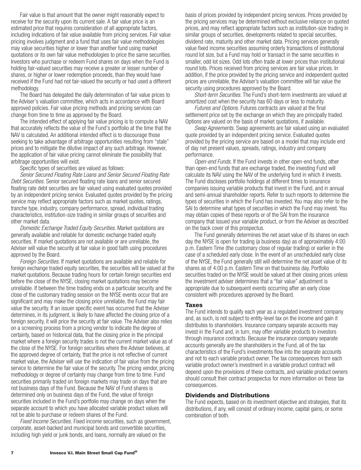<span id="page-8-0"></span>Fair value is that amount that the owner might reasonably expect to receive for the security upon its current sale. A fair value price is an estimated price that requires consideration of all appropriate factors, including indications of fair value available from pricing services. Fair value pricing involves judgment and a fund that uses fair value methodologies may value securities higher or lower than another fund using market quotations or its own fair value methodologies to price the same securities. Investors who purchase or redeem Fund shares on days when the Fund is holding fair-valued securities may receive a greater or lesser number of shares, or higher or lower redemption proceeds, than they would have received if the Fund had not fair-valued the security or had used a different methodology.

The Board has delegated the daily determination of fair value prices to the Adviser's valuation committee, which acts in accordance with Board approved policies. Fair value pricing methods and pricing services can change from time to time as approved by the Board.

The intended effect of applying fair value pricing is to compute a NAV that accurately reflects the value of the Fund's portfolio at the time that the NAV is calculated. An additional intended effect is to discourage those seeking to take advantage of arbitrage opportunities resulting from "stale" prices and to mitigate the dilutive impact of any such arbitrage. However, the application of fair value pricing cannot eliminate the possibility that arbitrage opportunities will exist.

Specific types of securities are valued as follows:

*Senior Secured Floating Rate Loans and Senior Secured Floating Rate Debt Securities.* Senior secured floating rate loans and senior secured floating rate debt securities are fair valued using evaluated quotes provided by an independent pricing service. Evaluated quotes provided by the pricing service may reflect appropriate factors such as market quotes, ratings, tranche type, industry, company performance, spread, individual trading characteristics, institution-size trading in similar groups of securities and other market data.

*Domestic Exchange Traded Equity Securities.* Market quotations are generally available and reliable for domestic exchange traded equity securities. If market quotations are not available or are unreliable, the Adviser will value the security at fair value in good faith using procedures approved by the Board.

*Foreign Securities.* If market quotations are available and reliable for foreign exchange traded equity securities, the securities will be valued at the market quotations. Because trading hours for certain foreign securities end before the close of the NYSE, closing market quotations may become unreliable. If between the time trading ends on a particular security and the close of the customary trading session on the NYSE events occur that are significant and may make the closing price unreliable, the Fund may fair value the security. If an issuer specific event has occurred that the Adviser determines, in its judgment, is likely to have affected the closing price of a foreign security, it will price the security at fair value. The Adviser also relies on a screening process from a pricing vendor to indicate the degree of certainty, based on historical data, that the closing price in the principal market where a foreign security trades is not the current market value as of the close of the NYSE. For foreign securities where the Adviser believes, at the approved degree of certainty, that the price is not reflective of current market value, the Adviser will use the indication of fair value from the pricing service to determine the fair value of the security. The pricing vendor, pricing methodology or degree of certainty may change from time to time. Fund securities primarily traded on foreign markets may trade on days that are not business days of the Fund. Because the NAV of Fund shares is determined only on business days of the Fund, the value of foreign securities included in the Fund's portfolio may change on days when the separate account to which you have allocated variable product values will not be able to purchase or redeem shares of the Fund.

*Fixed Income Securities.* Fixed income securities, such as government, corporate, asset-backed and municipal bonds and convertible securities, including high yield or junk bonds, and loans, normally are valued on the

basis of prices provided by independent pricing services. Prices provided by the pricing services may be determined without exclusive reliance on quoted prices, and may reflect appropriate factors such as institution-size trading in similar groups of securities, developments related to special securities, dividend rate, maturity and other market data. Pricing services generally value fixed income securities assuming orderly transactions of institutional round lot size, but a Fund may hold or transact in the same securities in smaller, odd lot sizes. Odd lots often trade at lower prices than institutional round lots. Prices received from pricing services are fair value prices. In addition, if the price provided by the pricing service and independent quoted prices are unreliable, the Adviser's valuation committee will fair value the security using procedures approved by the Board.

*Short-term Securities.* The Fund's short-term investments are valued at amortized cost when the security has 60 days or less to maturity.

*Futures and Options.* Futures contracts are valued at the final settlement price set by the exchange on which they are principally traded. Options are valued on the basis of market quotations, if available.

*Swap Agreements.* Swap agreements are fair valued using an evaluated quote provided by an independent pricing service. Evaluated quotes provided by the pricing service are based on a model that may include end of day net present values, spreads, ratings, industry and company performance.

*Open-end Funds.* If the Fund invests in other open-end funds, other than open-end funds that are exchange traded, the investing Fund will calculate its NAV using the NAV of the underlying fund in which it invests. The Fund discloses portfolio holdings at different times to insurance companies issuing variable products that invest in the Fund, and in annual and semi-annual shareholder reports. Refer to such reports to determine the types of securities in which the Fund has invested. You may also refer to the SAI to determine what types of securities in which the Fund may invest. You may obtain copies of these reports or of the SAI from the insurance company that issued your variable product, or from the Adviser as described on the back cover of this prospectus.

The Fund generally determines the net asset value of its shares on each day the NYSE is open for trading (a business day) as of approximately 4:00 p.m. Eastern Time (the customary close of regular trading) or earlier in the case of a scheduled early close. In the event of an unscheduled early close of the NYSE, the Fund generally still will determine the net asset value of its shares as of 4:00 p.m. Eastern Time on that business day. Portfolio securities traded on the NYSE would be valued at their closing prices unless the investment adviser determines that a "fair value" adjustment is appropriate due to subsequent events occurring after an early close consistent with procedures approved by the Board.

#### **Taxes**

The Fund intends to qualify each year as a regulated investment company and, as such, is not subject to entity-level tax on the income and gain it distributes to shareholders. Insurance company separate accounts may invest in the Fund and, in turn, may offer variable products to investors through insurance contracts. Because the insurance company separate accounts generally are the shareholders in the Fund, all of the tax characteristics of the Fund's investments flow into the separate accounts and not to each variable product owner. The tax consequences from each variable product owner's investment in a variable product contract will depend upon the provisions of these contracts, and variable product owners should consult their contract prospectus for more information on these tax consequences.

#### **Dividends and Distributions**

The Fund expects, based on its investment objective and strategies, that its distributions, if any, will consist of ordinary income, capital gains, or some combination of both.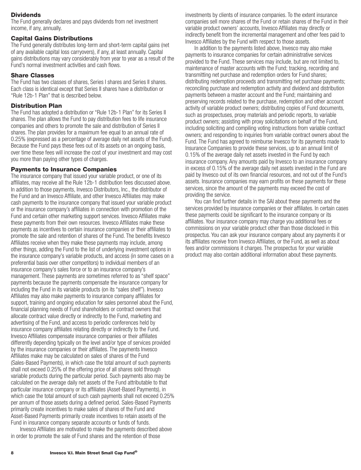# <span id="page-9-0"></span>**Dividends**

The Fund generally declares and pays dividends from net investment income, if any, annually.

#### **Capital Gains Distributions**

The Fund generally distributes long-term and short-term capital gains (net of any available capital loss carryovers), if any, at least annually. Capital gains distributions may vary considerably from year to year as a result of the Fund's normal investment activities and cash flows.

### **Share Classes**

The Fund has two classes of shares, Series I shares and Series II shares. Each class is identical except that Series II shares have a distribution or "Rule 12b-1 Plan" that is described below.

### **Distribution Plan**

The Fund has adopted a distribution or "Rule 12b-1 Plan" for its Series II shares. The plan allows the Fund to pay distribution fees to life insurance companies and others to promote the sale and distribution of Series II shares. The plan provides for a maximum fee equal to an annual rate of 0.25% (expressed as a percentage of average daily net assets of the Fund). Because the Fund pays these fees out of its assets on an ongoing basis, over time these fees will increase the cost of your investment and may cost you more than paying other types of charges.

### **Payments to Insurance Companies**

The insurance company that issued your variable product, or one of its affiliates, may receive all the Rule 12b-1 distribution fees discussed above. In addition to those payments, Invesco Distributors, Inc., the distributor of the Fund and an Invesco Affiliate, and other Invesco Affiliates may make cash payments to the insurance company that issued your variable product or the insurance company's affiliates in connection with promotion of the Fund and certain other marketing support services. Invesco Affiliates make these payments from their own resources. Invesco Affiliates make these payments as incentives to certain insurance companies or their affiliates to promote the sale and retention of shares of the Fund. The benefits Invesco Affiliates receive when they make these payments may include, among other things, adding the Fund to the list of underlying investment options in the insurance company's variable products, and access (in some cases on a preferential basis over other competitors) to individual members of an insurance company's sales force or to an insurance company's management. These payments are sometimes referred to as "shelf space" payments because the payments compensate the insurance company for including the Fund in its variable products (on its "sales shelf"). Invesco Affiliates may also make payments to insurance company affiliates for support, training and ongoing education for sales personnel about the Fund, financial planning needs of Fund shareholders or contract owners that allocate contract value directly or indirectly to the Fund, marketing and advertising of the Fund, and access to periodic conferences held by insurance company affiliates relating directly or indirectly to the Fund. Invesco Affiliates compensate insurance companies or their affiliates differently depending typically on the level and/or type of services provided by the insurance companies or their affiliates. The payments Invesco Affiliates make may be calculated on sales of shares of the Fund (Sales-Based Payments), in which case the total amount of such payments shall not exceed 0.25% of the offering price of all shares sold through variable products during the particular period. Such payments also may be calculated on the average daily net assets of the Fund attributable to that particular insurance company or its affiliates (Asset-Based Payments), in which case the total amount of such cash payments shall not exceed 0.25% per annum of those assets during a defined period. Sales-Based Payments primarily create incentives to make sales of shares of the Fund and Asset-Based Payments primarily create incentives to retain assets of the Fund in insurance company separate accounts or funds of funds.

Invesco Affiliates are motivated to make the payments described above in order to promote the sale of Fund shares and the retention of those

investments by clients of insurance companies. To the extent insurance companies sell more shares of the Fund or retain shares of the Fund in their variable product owners' accounts, Invesco Affiliates may directly or indirectly benefit from the incremental management and other fees paid to Invesco Affiliates by the Fund with respect to those assets.

In addition to the payments listed above, Invesco may also make payments to insurance companies for certain administrative services provided to the Fund. These services may include, but are not limited to, maintenance of master accounts with the Fund; tracking, recording and transmitting net purchase and redemption orders for Fund shares; distributing redemption proceeds and transmitting net purchase payments; reconciling purchase and redemption activity and dividend and distribution payments between a master account and the Fund; maintaining and preserving records related to the purchase, redemption and other account activity of variable product owners; distributing copies of Fund documents, such as prospectuses, proxy materials and periodic reports, to variable product owners; assisting with proxy solicitations on behalf of the Fund, including soliciting and compiling voting instructions from variable contract owners; and responding to inquiries from variable contract owners about the Fund. The Fund has agreed to reimburse Invesco for its payments made to Insurance Companies to provide these services, up to an annual limit of 0.15% of the average daily net assets invested in the Fund by each insurance company. Any amounts paid by Invesco to an insurance company in excess of 0.15% of the average daily net assets invested in the Fund are paid by Invesco out of its own financial resources, and not out of the Fund's assets. Insurance companies may earn profits on these payments for these services, since the amount of the payments may exceed the cost of providing the service.

You can find further details in the SAI about these payments and the services provided by insurance companies or their affiliates. In certain cases these payments could be significant to the insurance company or its affiliates. Your insurance company may charge you additional fees or commissions on your variable product other than those disclosed in this prospectus. You can ask your insurance company about any payments it or its affiliates receive from Invesco Affiliates, or the Fund, as well as about fees and/or commissions it charges. The prospectus for your variable product may also contain additional information about these payments.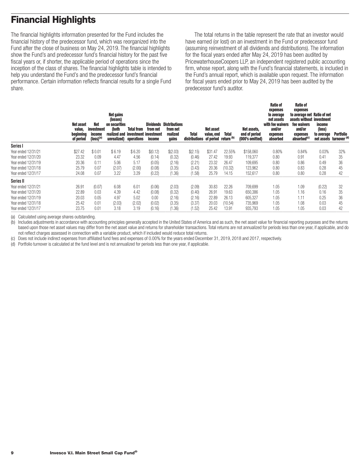# <span id="page-10-0"></span>**Financial Highlights**

The financial highlights information presented for the Fund includes the financial history of the predecessor fund, which was reorganized into the Fund after the close of business on May 24, 2019. The financial highlights show the Fund's and predecessor fund's financial history for the past five fiscal years or, if shorter, the applicable period of operations since the inception of the class of shares. The financial highlights table is intended to help you understand the Fund's and the predecessor fund's financial performance. Certain information reflects financial results for a single Fund share.

The total returns in the table represent the rate that an investor would have earned (or lost) on an investment in the Fund or predecessor fund (assuming reinvestment of all dividends and distributions). The information for the fiscal years ended after May 24, 2019 has been audited by PricewaterhouseCoopers LLP, an independent registered public accounting firm, whose report, along with the Fund's financial statements, is included in the Fund's annual report, which is available upon request. The information for fiscal years ended prior to May 24, 2019 has been audited by the predecessor fund's auditor.

|                     | Net asset<br>value,<br>beginning<br>of period | <b>Net</b><br>investment<br>income<br>(loss) <sup>(a</sup> | <b>Net gains</b><br>(losses)<br>on securities<br>(both<br>realized and<br>unrealized) operations | <b>Total from</b><br>investment investment | Dividends<br>from net<br>income | <b>Distributions</b><br>from net<br>realized<br>gains | Total<br>distributions of period return (b) | Net asset<br>value, end | <b>Total</b> | Net assets,<br>end of period<br>(000's omitted) | <b>Ratio of</b><br>expenses<br>to average<br>net assets<br>with fee waivers<br>and/or<br>expenses<br>absorbed | <b>Ratio of</b><br>expenses<br>to average net Ratio of net<br>assets without investment<br>fee waivers<br>and/or<br>expenses<br>absorbed <sup>(c)</sup> | income<br>(loss)<br>to average<br>net assets turnover (d) | Portfolio |
|---------------------|-----------------------------------------------|------------------------------------------------------------|--------------------------------------------------------------------------------------------------|--------------------------------------------|---------------------------------|-------------------------------------------------------|---------------------------------------------|-------------------------|--------------|-------------------------------------------------|---------------------------------------------------------------------------------------------------------------|---------------------------------------------------------------------------------------------------------------------------------------------------------|-----------------------------------------------------------|-----------|
| Series I            |                                               |                                                            |                                                                                                  |                                            |                                 |                                                       |                                             |                         |              |                                                 |                                                                                                               |                                                                                                                                                         |                                                           |           |
| Year ended 12/31/21 | \$27.42                                       | \$0.01                                                     | \$6.19                                                                                           | \$6.20                                     | \$(0.12)                        | \$(2.03)                                              | \$(2.15)                                    | \$31.47                 | 22.55%       | \$158,060                                       | 0.80%                                                                                                         | 0.84%                                                                                                                                                   | 0.03%                                                     | 32%       |
| Year ended 12/31/20 | 23.32                                         | 0.09                                                       | 4.47                                                                                             | 4.56                                       | (0.14)                          | (0.32)                                                | (0.46)                                      | 27.42                   | 19.93        | 119,377                                         | 0.80                                                                                                          | 0.91                                                                                                                                                    | 0.41                                                      | 35        |
| Year ended 12/31/19 | 20.36                                         | 0.11                                                       | 5.06                                                                                             | 5.17                                       | (0.05)                          | (2.16)                                                | (2.21)                                      | 23.32                   | 26.47        | 109,695                                         | 0.80                                                                                                          | 0.86                                                                                                                                                    | 0.49                                                      | 36        |
| Year ended 12/31/18 | 25.79                                         | 0.07                                                       | (2.07)                                                                                           | (2.00)                                     | (0.08)                          | (3.35)                                                | (3.43)                                      | 20.36                   | (10.32)      | 123,962                                         | 0.80                                                                                                          | 0.83                                                                                                                                                    | 0.28                                                      | 45        |
| Year ended 12/31/17 | 24.08                                         | 0.07                                                       | 3.22                                                                                             | 3.29                                       | (0.22)                          | (1.36)                                                | (1.58)                                      | 25.79                   | 14.15        | 152.617                                         | 0.80                                                                                                          | 0.80                                                                                                                                                    | 0.28                                                      | 42        |
| Series II           |                                               |                                                            |                                                                                                  |                                            |                                 |                                                       |                                             |                         |              |                                                 |                                                                                                               |                                                                                                                                                         |                                                           |           |
| Year ended 12/31/21 | 26.91                                         | (0.07)                                                     | 6.08                                                                                             | 6.01                                       | (0.06)                          | (2.03)                                                | (2.09)                                      | 30.83                   | 22.26        | 709,699                                         | 1.05                                                                                                          | 1.09                                                                                                                                                    | (0.22)                                                    | 32        |
| Year ended 12/31/20 | 22.89                                         | 0.03                                                       | 4.39                                                                                             | 4.42                                       | (0.08)                          | (0.32)                                                | (0.40)                                      | 26.91                   | 19.63        | 650,386                                         | 1.05                                                                                                          | 1.16                                                                                                                                                    | 0.16                                                      | 35        |
| Year ended 12/31/19 | 20.03                                         | 0.05                                                       | 4.97                                                                                             | 5.02                                       | 0.00                            | (2.16)                                                | (2.16)                                      | 22.89                   | 26.13        | 605,327                                         | 1.05                                                                                                          | 1.11                                                                                                                                                    | 0.25                                                      | 36        |
| Year ended 12/31/18 | 25.42                                         | 0.01                                                       | (2.03)                                                                                           | (2.02)                                     | (0.02)                          | (3.35)                                                | (3.37)                                      | 20.03                   | (10.54)      | 735,969                                         | 1.05                                                                                                          | 1.08                                                                                                                                                    | 0.03                                                      | 45        |
| Year ended 12/31/17 | 23.75                                         | 0.01                                                       | 3.18                                                                                             | 3.19                                       | (0.16)                          | (1.36)                                                | (1.52)                                      | 25.42                   | 13.91        | 935.793                                         | 1.05                                                                                                          | 1.05                                                                                                                                                    | 0.03                                                      | 42        |

(a) Calculated using average shares outstanding.

(b) Includes adjustments in accordance with accounting principles generally accepted in the United States of America and as such, the net asset value for financial reporting purposes and the returns based upon those net asset values may differ from the net asset value and returns for shareholder transactions. Total returns are not annualized for periods less than one year, if applicable, and do not reflect charges assessed in connection with a variable product, which if included would reduce total returns.

(c) Does not include indirect expenses from affiliated fund fees and expenses of 0.00% for the years ended December 31, 2019, 2018 and 2017, respectively.

(d) Portfolio turnover is calculated at the fund level and is not annualized for periods less than one year, if applicable.